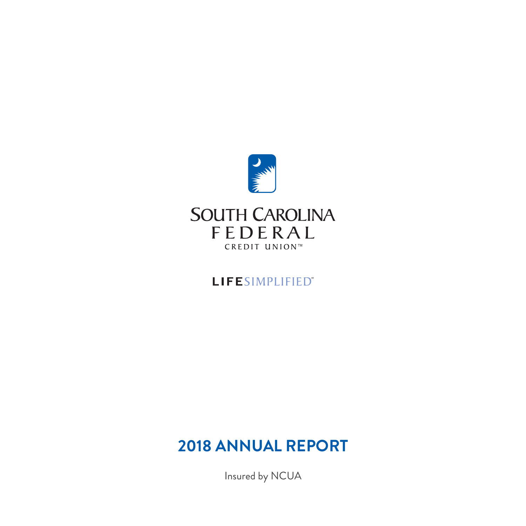

# LIFESIMPLIFIED"

# **2018 ANNUAL REPORT**

Insured by NCUA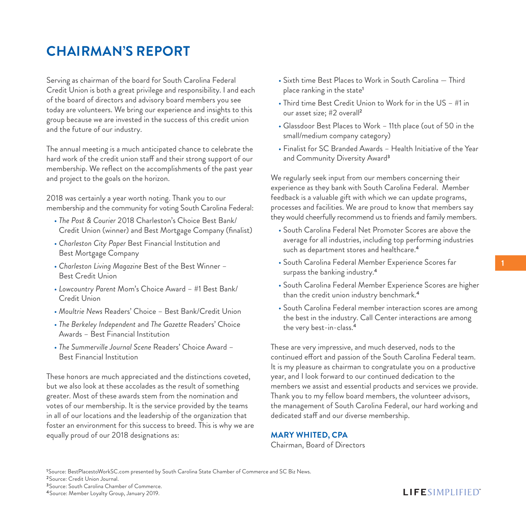# **CHAIRMAN'S REPORT**

Serving as chairman of the board for South Carolina Federal Credit Union is both a great privilege and responsibility. I and each of the board of directors and advisory board members you see today are volunteers. We bring our experience and insights to this group because we are invested in the success of this credit union and the future of our industry.

The annual meeting is a much anticipated chance to celebrate the hard work of the credit union staff and their strong support of our membership. We reflect on the accomplishments of the past year and project to the goals on the horizon.

2018 was certainly a year worth noting. Thank you to our membership and the community for voting South Carolina Federal:

- *The Post & Courier* 2018 Charleston's Choice Best Bank/ Credit Union (winner) and Best Mortgage Company (finalist)
- *Charleston City Paper* Best Financial Institution and Best Mortgage Company
- *Charleston Living Magazine* Best of the Best Winner Best Credit Union
- *Lowcountry Parent* Mom's Choice Award #1 Best Bank/ Credit Union
- *Moultrie News* Readers' Choice Best Bank/Credit Union
- *The Berkeley Independent* and *The Gazette* Readers' Choice Awards – Best Financial Institution
- *The Summerville Journal Scene* Readers' Choice Award Best Financial Institution

These honors are much appreciated and the distinctions coveted, but we also look at these accolades as the result of something greater. Most of these awards stem from the nomination and votes of our membership. It is the service provided by the teams in all of our locations and the leadership of the organization that foster an environment for this success to breed. This is why we are equally proud of our 2018 designations as:

- Sixth time Best Places to Work in South Carolina Third place ranking in the state**<sup>1</sup>**
- Third time Best Credit Union to Work for in the US #1 in our asset size; #2 overall**<sup>2</sup>**
- Glassdoor Best Places to Work 11th place (out of 50 in the small/medium company category)
- Finalist for SC Branded Awards Health Initiative of the Year and Community Diversity Award**<sup>3</sup>**

We regularly seek input from our members concerning their experience as they bank with South Carolina Federal. Member feedback is a valuable gift with which we can update programs, processes and facilities. We are proud to know that members say they would cheerfully recommend us to friends and family members.

- South Carolina Federal Net Promoter Scores are above the average for all industries, including top performing industries such as department stores and healthcare.**<sup>4</sup>**
- South Carolina Federal Member Experience Scores far surpass the banking industry.**<sup>4</sup>**
- South Carolina Federal Member Experience Scores are higher than the credit union industry benchmark.**<sup>4</sup>**
- South Carolina Federal member interaction scores are among the best in the industry. Call Center interactions are among the very best-in-class.**<sup>4</sup>**

These are very impressive, and much deserved, nods to the continued effort and passion of the South Carolina Federal team. It is my pleasure as chairman to congratulate you on a productive year, and I look forward to our continued dedication to the members we assist and essential products and services we provide. Thank you to my fellow board members, the volunteer advisors, the management of South Carolina Federal, our hard working and dedicated staff and our diverse membership.

### **MARY WHITED, CPA**

Chairman, Board of Directors

**<sup>1</sup>**Source: BestPlacestoWorkSC.com presented by South Carolina State Chamber of Commerce and SC Biz News.

**<sup>2</sup>**Source: Credit Union Journal.

**<sup>3</sup>**Source: South Carolina Chamber of Commerce.

**4**Source: Member Loyalty Group, January 2019.

### **LIFESIMPLIFIED**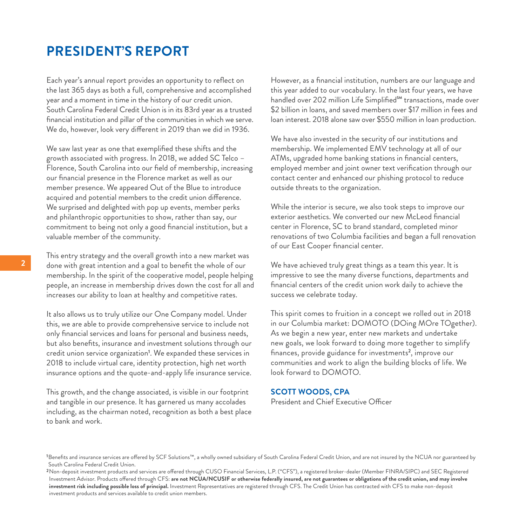### **PRESIDENT'S REPORT**

Each year's annual report provides an opportunity to reflect on the last 365 days as both a full, comprehensive and accomplished year and a moment in time in the history of our credit union. South Carolina Federal Credit Union is in its 83rd year as a trusted financial institution and pillar of the communities in which we serve. We do, however, look very different in 2019 than we did in 1936.

We saw last year as one that exemplified these shifts and the growth associated with progress. In 2018, we added SC Telco – Florence, South Carolina into our field of membership, increasing our financial presence in the Florence market as well as our member presence. We appeared Out of the Blue to introduce acquired and potential members to the credit union difference. We surprised and delighted with pop up events, member perks and philanthropic opportunities to show, rather than say, our commitment to being not only a good financial institution, but a valuable member of the community.

This entry strategy and the overall growth into a new market was done with great intention and a goal to benefit the whole of our membership. In the spirit of the cooperative model, people helping people, an increase in membership drives down the cost for all and increases our ability to loan at healthy and competitive rates.

It also allows us to truly utilize our One Company model. Under this, we are able to provide comprehensive service to include not only financial services and loans for personal and business needs, but also benefits, insurance and investment solutions through our credit union service organization**<sup>1</sup>** . We expanded these services in 2018 to include virtual care, identity protection, high net worth insurance options and the quote-and-apply life insurance service.

This growth, and the change associated, is visible in our footprint and tangible in our presence. It has garnered us many accolades including, as the chairman noted, recognition as both a best place to bank and work.

However, as a financial institution, numbers are our language and this year added to our vocabulary. In the last four years, we have handled over 202 million Life Simplified<sup>sM</sup> transactions, made over \$2 billion in loans, and saved members over \$17 million in fees and loan interest. 2018 alone saw over \$550 million in loan production.

We have also invested in the security of our institutions and membership. We implemented EMV technology at all of our ATMs, upgraded home banking stations in financial centers, employed member and joint owner text verification through our contact center and enhanced our phishing protocol to reduce outside threats to the organization.

While the interior is secure, we also took steps to improve our exterior aesthetics. We converted our new McLeod financial center in Florence, SC to brand standard, completed minor renovations of two Columbia facilities and began a full renovation of our East Cooper financial center.

We have achieved truly great things as a team this year. It is impressive to see the many diverse functions, departments and financial centers of the credit union work daily to achieve the success we celebrate today.

This spirit comes to fruition in a concept we rolled out in 2018 in our Columbia market: DOMOTO (DOing MOre TOgether). As we begin a new year, enter new markets and undertake new goals, we look forward to doing more together to simplify finances, provide guidance for investments**<sup>2</sup>** , improve our communities and work to align the building blocks of life. We look forward to DOMOTO.

#### **SCOTT WOODS, CPA**

President and Chief Executive Officer

**<sup>1</sup>**Benefits and insurance services are offered by SCF Solutions™, a wholly owned subsidiary of South Carolina Federal Credit Union, and are not insured by the NCUA nor guaranteed by South Carolina Federal Credit Union.

**<sup>2</sup>**Non-deposit investment products and services are offered through CUSO Financial Services, L.P. ("CFS"), a registered broker-dealer (Member FINRA/SIPC) and SEC Registered Investment Advisor. Products offered through CFS: **are not NCUA/NCUSIF or otherwise federally insured, are not guarantees or obligations of the credit union, and may involve investment risk including possible loss of principal.** Investment Representatives are registered through CFS. The Credit Union has contracted with CFS to make non-deposit investment products and services available to credit union members.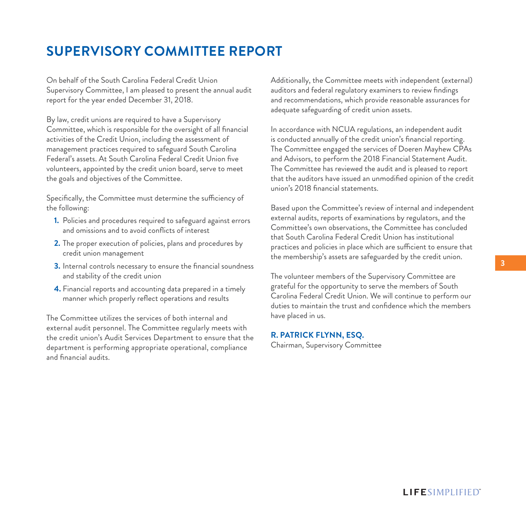# **SUPERVISORY COMMITTEE REPORT**

On behalf of the South Carolina Federal Credit Union Supervisory Committee, I am pleased to present the annual audit report for the year ended December 31, 2018.

By law, credit unions are required to have a Supervisory Committee, which is responsible for the oversight of all financial activities of the Credit Union, including the assessment of management practices required to safeguard South Carolina Federal's assets. At South Carolina Federal Credit Union five volunteers, appointed by the credit union board, serve to meet the goals and objectives of the Committee.

Specifically, the Committee must determine the sufficiency of the following:

- **1.** Policies and procedures required to safeguard against errors and omissions and to avoid conflicts of interest
- **2.** The proper execution of policies, plans and procedures by credit union management
- **3.** Internal controls necessary to ensure the financial soundness and stability of the credit union
- **4.** Financial reports and accounting data prepared in a timely manner which properly reflect operations and results

The Committee utilizes the services of both internal and external audit personnel. The Committee regularly meets with the credit union's Audit Services Department to ensure that the department is performing appropriate operational, compliance and financial audits.

Additionally, the Committee meets with independent (external) auditors and federal regulatory examiners to review findings and recommendations, which provide reasonable assurances for adequate safeguarding of credit union assets.

In accordance with NCUA regulations, an independent audit is conducted annually of the credit union's financial reporting. The Committee engaged the services of Doeren Mayhew CPAs and Advisors, to perform the 2018 Financial Statement Audit. The Committee has reviewed the audit and is pleased to report that the auditors have issued an unmodified opinion of the credit union's 2018 financial statements.

Based upon the Committee's review of internal and independent external audits, reports of examinations by regulators, and the Committee's own observations, the Committee has concluded that South Carolina Federal Credit Union has institutional practices and policies in place which are sufficient to ensure that the membership's assets are safeguarded by the credit union.

The volunteer members of the Supervisory Committee are grateful for the opportunity to serve the members of South Carolina Federal Credit Union. We will continue to perform our duties to maintain the trust and confidence which the members have placed in us.

#### **R. PATRICK FLYNN, ESQ.**

Chairman, Supervisory Committee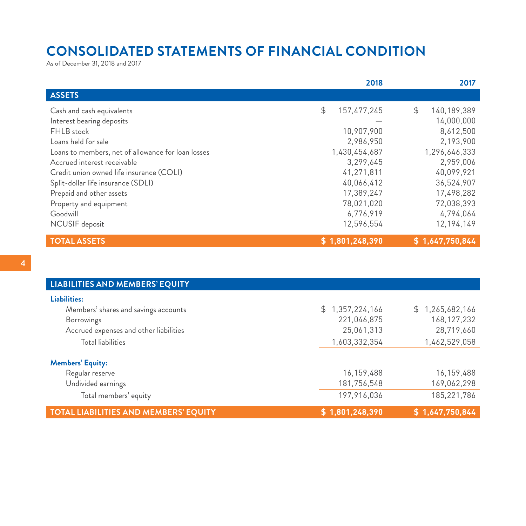# **CONSOLIDATED STATEMENTS OF FINANCIAL CONDITION**

As of December 31, 2018 and 2017

|                                                    | 2018              | 2017              |
|----------------------------------------------------|-------------------|-------------------|
| <b>ASSETS</b>                                      |                   |                   |
| Cash and cash equivalents                          | \$<br>157,477,245 | \$<br>140,189,389 |
| Interest bearing deposits                          |                   | 14,000,000        |
| FHLB stock                                         | 10,907,900        | 8,612,500         |
| Loans held for sale                                | 2,986,950         | 2,193,900         |
| Loans to members, net of allowance for loan losses | 1,430,454,687     | 1,296,646,333     |
| Accrued interest receivable                        | 3,299,645         | 2,959,006         |
| Credit union owned life insurance (COLI)           | 41,271,811        | 40,099,921        |
| Split-dollar life insurance (SDLI)                 | 40,066,412        | 36,524,907        |
| Prepaid and other assets                           | 17,389,247        | 17,498,282        |
| Property and equipment                             | 78,021,020        | 72,038,393        |
| Goodwill                                           | 6,776,919         | 4,794,064         |
| NCUSIF deposit                                     | 12,596,554        | 12, 194, 149      |
| <b>TOTAL ASSETS</b>                                | \$1,801,248,390   | \$1,647,750,844   |

| <b>LIABILITIES AND MEMBERS' EQUITY</b>       |                 |                     |
|----------------------------------------------|-----------------|---------------------|
| Liabilities:                                 |                 |                     |
| Members' shares and savings accounts         | \$1,357,224,166 | 1,265,682,166<br>S. |
| <b>Borrowings</b>                            | 221,046,875     | 168, 127, 232       |
| Accrued expenses and other liabilities       | 25,061,313      | 28,719,660          |
| <b>Total liabilities</b>                     | 1,603,332,354   | 1,462,529,058       |
| <b>Members' Equity:</b>                      |                 |                     |
| Regular reserve                              | 16,159,488      | 16,159,488          |
| Undivided earnings                           | 181,756,548     | 169,062,298         |
| Total members' equity                        | 197,916,036     | 185,221,786         |
| <b>TOTAL LIABILITIES AND MEMBERS' EQUITY</b> | \$1,801,248,390 | \$1,647,750,844     |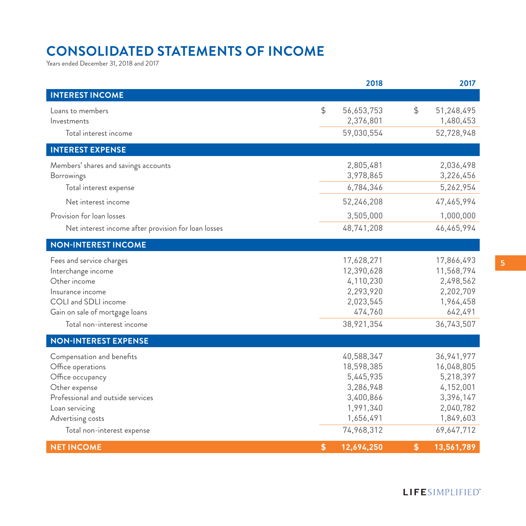# **CONSOLIDATED STATEMENTS OF INCOME**

Years ended December 31, 2018 and 2017

|                                                                                                                                                                                               |               | 2018                                                                                                    |                  | 2017                                                                                                      |
|-----------------------------------------------------------------------------------------------------------------------------------------------------------------------------------------------|---------------|---------------------------------------------------------------------------------------------------------|------------------|-----------------------------------------------------------------------------------------------------------|
| <b>INTEREST INCOME</b>                                                                                                                                                                        |               |                                                                                                         |                  |                                                                                                           |
| Loans to members<br>Investments<br>Total interest income                                                                                                                                      | $\frac{1}{2}$ | 56,653,753<br>2,376,801                                                                                 | $$\mathfrak{S}$$ | 51,248,495<br>1,480,453                                                                                   |
|                                                                                                                                                                                               |               | 59,030,554                                                                                              |                  | 52,728,948                                                                                                |
| <b>INTEREST EXPENSE</b>                                                                                                                                                                       |               |                                                                                                         |                  |                                                                                                           |
| Members' shares and savings accounts<br><b>Borrowings</b>                                                                                                                                     |               | 2,805,481<br>3,978,865                                                                                  |                  | 2,036,498<br>3,226,456                                                                                    |
| Total interest expense                                                                                                                                                                        |               | 6,784,346                                                                                               |                  | 5,262,954                                                                                                 |
| Net interest income                                                                                                                                                                           |               | 52,246,208                                                                                              |                  | 47,465,994                                                                                                |
| Provision for loan losses                                                                                                                                                                     |               | 3,505,000                                                                                               |                  | 1,000,000                                                                                                 |
| Net interest income after provision for loan losses                                                                                                                                           |               | 48,741,208                                                                                              |                  | 46,465,994                                                                                                |
| <b>NON-INTEREST INCOME</b>                                                                                                                                                                    |               |                                                                                                         |                  |                                                                                                           |
| Fees and service charges<br>Interchange income<br>Other income<br>Insurance income<br>COLI and SDLI income<br>Gain on sale of mortgage loans                                                  |               | 17,628,271<br>12,390,628<br>4,110,230<br>2,293,920<br>2,023,545<br>474,760                              |                  | 17,866,493<br>11,568,794<br>2,498,562<br>2,202,709<br>1,964,458<br>642,491                                |
| Total non-interest income                                                                                                                                                                     |               | 38,921,354                                                                                              |                  | 36,743,507                                                                                                |
| <b>NON-INTEREST EXPENSE</b>                                                                                                                                                                   |               |                                                                                                         |                  |                                                                                                           |
| Compensation and benefits<br>Office operations<br>Office occupancy<br>Other expense<br>Professional and outside services<br>Loan servicing<br>Advertising costs<br>Total non-interest expense |               | 40,588,347<br>18,598,385<br>5,445,935<br>3,286,948<br>3,400,866<br>1,991,340<br>1,656,491<br>74,968,312 |                  | 36, 941, 977<br>16,048,805<br>5,218,397<br>4,152,001<br>3,396,147<br>2,040,782<br>1,849,603<br>69,647,712 |
| <b>NET INCOME</b>                                                                                                                                                                             | \$            | 12,694,250                                                                                              | \$               | 13,561,789                                                                                                |

### LIFESIMPLIFIED"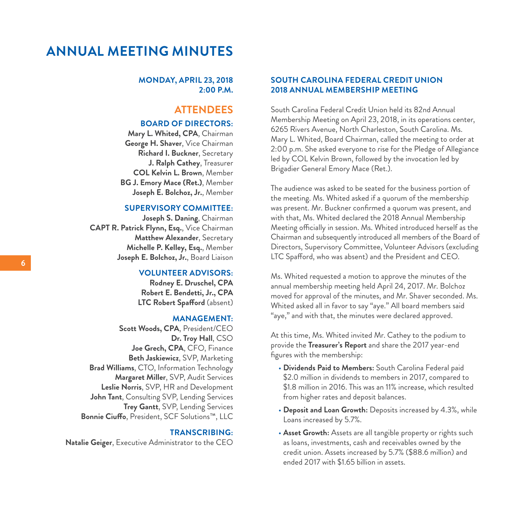## **ANNUAL MEETING MINUTES**

#### **MONDAY, APRIL 23, 2018 2:00 P.M.**

### **ATTENDEES**

#### **BOARD OF DIRECTORS:**

**Mary L. Whited, CPA**, Chairman **George H. Shaver**, Vice Chairman **Richard I. Buckner**, Secretary **J. Ralph Cathey**, Treasurer **COL Kelvin L. Brown**, Member **BG J. Emory Mace (Ret.)**, Member **Joseph E. Bolchoz, Jr.**, Member

### **SUPERVISORY COMMITTEE:**

**Joseph S. Daning**, Chairman **CAPT R. Patrick Flynn, Esq.**, Vice Chairman **Matthew Alexander**, Secretary **Michelle P. Kelley, Esq.**, Member **Joseph E. Bolchoz, Jr.**, Board Liaison

#### **VOLUNTEER ADVISORS:**

**Rodney E. Druschel, CPA Robert E. Bendetti, Jr., CPA LTC Robert Spafford** (absent)

#### **MANAGEMENT:**

**Scott Woods, CPA**, President/CEO **Dr. Troy Hall**, CSO **Joe Grech, CPA**, CFO, Finance **Beth Jaskiewicz**, SVP, Marketing **Brad Williams**, CTO, Information Technology **Margaret Miller**, SVP, Audit Services **Leslie Norris**, SVP, HR and Development **John Tant**, Consulting SVP, Lending Services **Trey Gantt**, SVP, Lending Services **Bonnie Ciuffo**, President, SCF Solutions™, LLC

#### **TRANSCRIBING:**

**Natalie Geiger**, Executive Administrator to the CEO

### **SOUTH CAROLINA FEDERAL CREDIT UNION 2018 ANNUAL MEMBERSHIP MEETING**

South Carolina Federal Credit Union held its 82nd Annual Membership Meeting on April 23, 2018, in its operations center, 6265 Rivers Avenue, North Charleston, South Carolina. Ms. Mary L. Whited, Board Chairman, called the meeting to order at 2:00 p.m. She asked everyone to rise for the Pledge of Allegiance led by COL Kelvin Brown, followed by the invocation led by Brigadier General Emory Mace (Ret.).

The audience was asked to be seated for the business portion of the meeting. Ms. Whited asked if a quorum of the membership was present. Mr. Buckner confirmed a quorum was present, and with that, Ms. Whited declared the 2018 Annual Membership Meeting officially in session. Ms. Whited introduced herself as the Chairman and subsequently introduced all members of the Board of Directors, Supervisory Committee, Volunteer Advisors (excluding LTC Spafford, who was absent) and the President and CEO.

Ms. Whited requested a motion to approve the minutes of the annual membership meeting held April 24, 2017. Mr. Bolchoz moved for approval of the minutes, and Mr. Shaver seconded. Ms. Whited asked all in favor to say "aye." All board members said "aye," and with that, the minutes were declared approved.

At this time, Ms. Whited invited Mr. Cathey to the podium to provide the **Treasurer's Report** and share the 2017 year-end figures with the membership:

- **Dividends Paid to Members:** South Carolina Federal paid \$2.0 million in dividends to members in 2017, compared to \$1.8 million in 2016. This was an 11% increase, which resulted from higher rates and deposit balances.
- **Deposit and Loan Growth:** Deposits increased by 4.3%, while Loans increased by 5.7%.
- **Asset Growth:** Assets are all tangible property or rights such as loans, investments, cash and receivables owned by the credit union. Assets increased by 5.7% (\$88.6 million) and ended 2017 with \$1.65 billion in assets.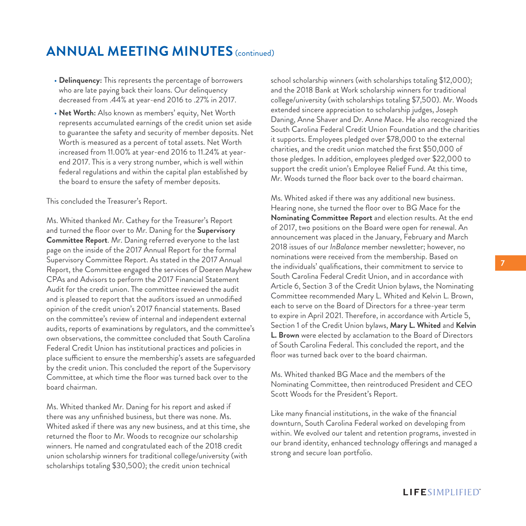## **ANNUAL MEETING MINUTES** (continued)

- **Delinquency:** This represents the percentage of borrowers who are late paying back their loans. Our delinquency decreased from .44% at year-end 2016 to .27% in 2017.
- **Net Worth:** Also known as members' equity, Net Worth represents accumulated earnings of the credit union set aside to guarantee the safety and security of member deposits. Net Worth is measured as a percent of total assets. Net Worth increased from 11.00% at year-end 2016 to 11.24% at yearend 2017. This is a very strong number, which is well within federal regulations and within the capital plan established by the board to ensure the safety of member deposits.

#### This concluded the Treasurer's Report.

Ms. Whited thanked Mr. Cathey for the Treasurer's Report and turned the floor over to Mr. Daning for the **Supervisory Committee Report**. Mr. Daning referred everyone to the last page on the inside of the 2017 Annual Report for the formal Supervisory Committee Report. As stated in the 2017 Annual Report, the Committee engaged the services of Doeren Mayhew CPAs and Advisors to perform the 2017 Financial Statement Audit for the credit union. The committee reviewed the audit and is pleased to report that the auditors issued an unmodified opinion of the credit union's 2017 financial statements. Based on the committee's review of internal and independent external audits, reports of examinations by regulators, and the committee's own observations, the committee concluded that South Carolina Federal Credit Union has institutional practices and policies in place sufficient to ensure the membership's assets are safeguarded by the credit union. This concluded the report of the Supervisory Committee, at which time the floor was turned back over to the board chairman.

Ms. Whited thanked Mr. Daning for his report and asked if there was any unfinished business, but there was none. Ms. Whited asked if there was any new business, and at this time, she returned the floor to Mr. Woods to recognize our scholarship winners. He named and congratulated each of the 2018 credit union scholarship winners for traditional college/university (with scholarships totaling \$30,500); the credit union technical

school scholarship winners (with scholarships totaling \$12,000); and the 2018 Bank at Work scholarship winners for traditional college/university (with scholarships totaling \$7,500). Mr. Woods extended sincere appreciation to scholarship judges, Joseph Daning, Anne Shaver and Dr. Anne Mace. He also recognized the South Carolina Federal Credit Union Foundation and the charities it supports. Employees pledged over \$78,000 to the external charities, and the credit union matched the first \$50,000 of those pledges. In addition, employees pledged over \$22,000 to support the credit union's Employee Relief Fund. At this time, Mr. Woods turned the floor back over to the board chairman.

Ms. Whited asked if there was any additional new business. Hearing none, she turned the floor over to BG Mace for the **Nominating Committee Report** and election results. At the end of 2017, two positions on the Board were open for renewal. An announcement was placed in the January, February and March 2018 issues of our *InBalance* member newsletter; however, no nominations were received from the membership. Based on the individuals' qualifications, their commitment to service to South Carolina Federal Credit Union, and in accordance with Article 6, Section 3 of the Credit Union bylaws, the Nominating Committee recommended Mary L. Whited and Kelvin L. Brown, each to serve on the Board of Directors for a three-year term to expire in April 2021. Therefore, in accordance with Article 5, Section 1 of the Credit Union bylaws, **Mary L. Whited** and **Kelvin L. Brown** were elected by acclamation to the Board of Directors of South Carolina Federal. This concluded the report, and the floor was turned back over to the board chairman.

Ms. Whited thanked BG Mace and the members of the Nominating Committee, then reintroduced President and CEO Scott Woods for the President's Report.

Like many financial institutions, in the wake of the financial downturn, South Carolina Federal worked on developing from within. We evolved our talent and retention programs, invested in our brand identity, enhanced technology offerings and managed a strong and secure loan portfolio.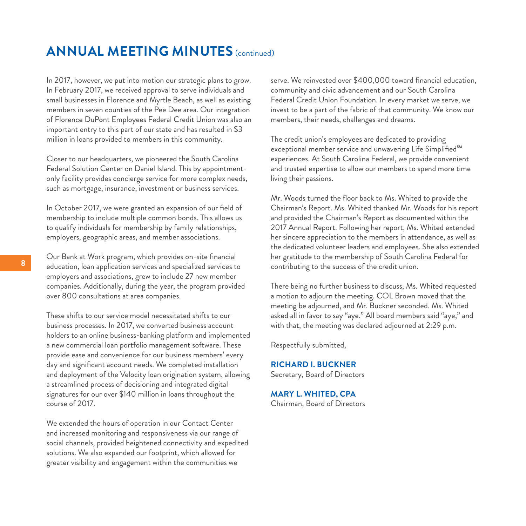## **ANNUAL MEETING MINUTES** (continued)

In 2017, however, we put into motion our strategic plans to grow. In February 2017, we received approval to serve individuals and small businesses in Florence and Myrtle Beach, as well as existing members in seven counties of the Pee Dee area. Our integration of Florence DuPont Employees Federal Credit Union was also an important entry to this part of our state and has resulted in \$3 million in loans provided to members in this community.

Closer to our headquarters, we pioneered the South Carolina Federal Solution Center on Daniel Island. This by appointmentonly facility provides concierge service for more complex needs, such as mortgage, insurance, investment or business services.

In October 2017, we were granted an expansion of our field of membership to include multiple common bonds. This allows us to qualify individuals for membership by family relationships, employers, geographic areas, and member associations.

Our Bank at Work program, which provides on-site financial education, loan application services and specialized services to employers and associations, grew to include 27 new member companies. Additionally, during the year, the program provided over 800 consultations at area companies.

These shifts to our service model necessitated shifts to our business processes. In 2017, we converted business account holders to an online business-banking platform and implemented a new commercial loan portfolio management software. These provide ease and convenience for our business members' every day and significant account needs. We completed installation and deployment of the Velocity loan origination system, allowing a streamlined process of decisioning and integrated digital signatures for our over \$140 million in loans throughout the course of 2017.

We extended the hours of operation in our Contact Center and increased monitoring and responsiveness via our range of social channels, provided heightened connectivity and expedited solutions. We also expanded our footprint, which allowed for greater visibility and engagement within the communities we

serve. We reinvested over \$400,000 toward financial education, community and civic advancement and our South Carolina Federal Credit Union Foundation. In every market we serve, we invest to be a part of the fabric of that community. We know our members, their needs, challenges and dreams.

The credit union's employees are dedicated to providing exceptional member service and unwavering Life Simplified<sup>SM</sup> experiences. At South Carolina Federal, we provide convenient and trusted expertise to allow our members to spend more time living their passions.

Mr. Woods turned the floor back to Ms. Whited to provide the Chairman's Report. Ms. Whited thanked Mr. Woods for his report and provided the Chairman's Report as documented within the 2017 Annual Report. Following her report, Ms. Whited extended her sincere appreciation to the members in attendance, as well as the dedicated volunteer leaders and employees. She also extended her gratitude to the membership of South Carolina Federal for contributing to the success of the credit union.

There being no further business to discuss, Ms. Whited requested a motion to adjourn the meeting. COL Brown moved that the meeting be adjourned, and Mr. Buckner seconded. Ms. Whited asked all in favor to say "aye." All board members said "aye," and with that, the meeting was declared adjourned at 2:29 p.m.

Respectfully submitted,

**RICHARD I. BUCKNER** Secretary, Board of Directors

**MARY L. WHITED, CPA** Chairman, Board of Directors